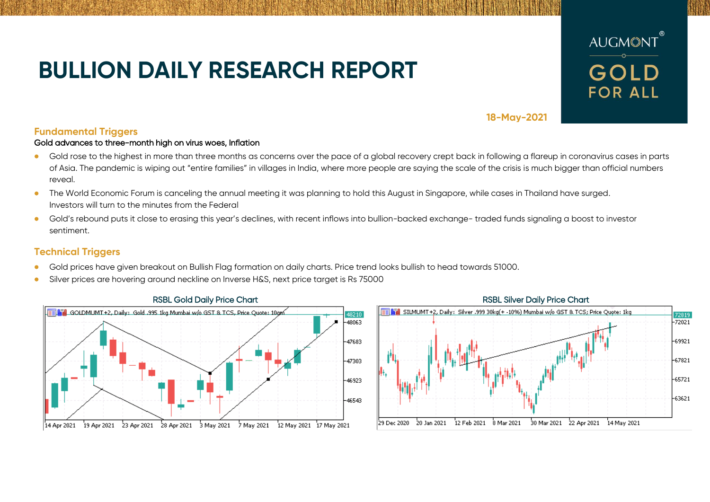# **BULLION DAILY RESEARCH REPORT**



## **18-May-2021**

## **Fundamental Triggers**

### Gold advances to three-month high on virus woes, Inflation

- Gold rose to the highest in more than three months as concerns over the pace of a global recovery crept back in following a flareup in coronavirus cases in parts of Asia. The pandemic is wiping out "entire families" in villages in India, where more people are saying the scale of the crisis is much bigger than official numbers reveal.
- The World Economic Forum is canceling the annual meeting it was planning to hold this August in Singapore, while cases in Thailand have surged. Investors will turn to the minutes from the Federal
- Gold's rebound puts it close to erasing this year's declines, with recent inflows into bullion-backed exchange- traded funds signaling a boost to investor sentiment.

## **Technical Triggers**

- Gold prices have given breakout on Bullish Flag formation on daily charts. Price trend looks bullish to head towards 51000.
- Silver prices are hovering around neckline on Inverse H&S, next price target is Rs 75000



## SILMUMT+2, Daily: Silver .999 30kg(+ -10%) Mumbai w/o GST & TCS; Price Quote: 1kg 72819  $-72021$ -69921  $-67821$  $-65721$  $-63621$

29 Dec 2020 20 Jan 2021 2 Feb 2021 8 Mar 2021 30 Mar 2021 22 Apr 2021 14 May 2021